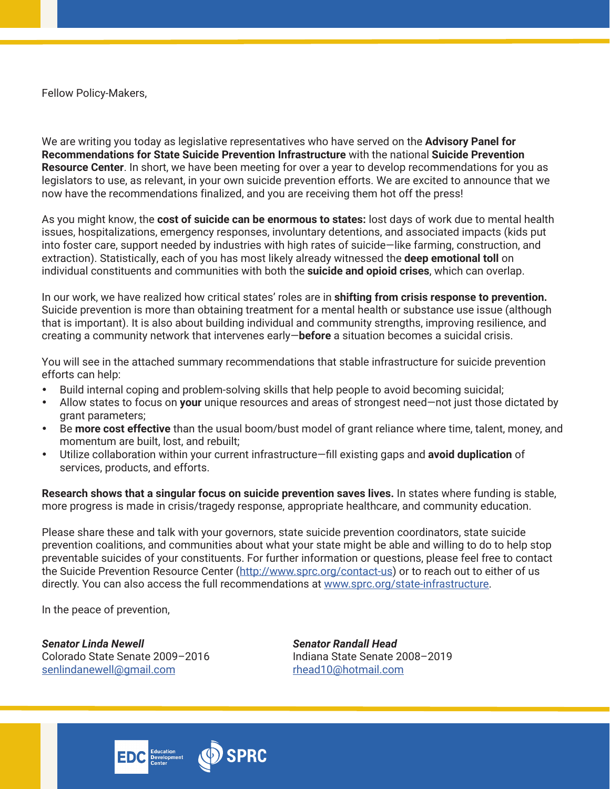Fellow Policy-Makers,

We are writing you today as legislative representatives who have served on the **Advisory Panel for Recommendations for State Suicide Prevention Infrastructure** with the national **Suicide Prevention Resource Center**. In short, we have been meeting for over a year to develop recommendations for you as legislators to use, as relevant, in your own suicide prevention efforts. We are excited to announce that we now have the recommendations finalized, and you are receiving them hot off the press!

As you might know, the **cost of suicide can be enormous to states:** lost days of work due to mental health issues, hospitalizations, emergency responses, involuntary detentions, and associated impacts (kids put into foster care, support needed by industries with high rates of suicide—like farming, construction, and extraction). Statistically, each of you has most likely already witnessed the **deep emotional toll** on individual constituents and communities with both the **suicide and opioid crises**, which can overlap.

In our work, we have realized how critical states' roles are in **shifting from crisis response to prevention.** Suicide prevention is more than obtaining treatment for a mental health or substance use issue (although that is important). It is also about building individual and community strengths, improving resilience, and creating a community network that intervenes early—**before** a situation becomes a suicidal crisis.

You will see in the attached summary recommendations that stable infrastructure for suicide prevention efforts can help:

- Build internal coping and problem-solving skills that help people to avoid becoming suicidal;
- Allow states to focus on **your** unique resources and areas of strongest need—not just those dictated by grant parameters;
- Be **more cost effective** than the usual boom/bust model of grant reliance where time, talent, money, and momentum are built, lost, and rebuilt;
- Utilize collaboration within your current infrastructure—fill existing gaps and **avoid duplication** of services, products, and efforts.

**Research shows that a singular focus on suicide prevention saves lives.** In states where funding is stable, more progress is made in crisis/tragedy response, appropriate healthcare, and community education.

Please share these and talk with your governors, state suicide prevention coordinators, state suicide prevention coalitions, and communities about what your state might be able and willing to do to help stop preventable suicides of your constituents. For further information or questions, please feel free to contact the Suicide Prevention Resource Center (http://www.sprc.org/contact-us) or to reach out to either of us directly. You can also access the full recommendations at www.sprc.org/state-infrastructure.

In the peace of prevention,

*Senator Linda Newell Senator Randall Head* Colorado State Senate 2009–2016 Indiana State Senate 2008–2019 senlindanewell@gmail.com rhead10@hotmail.com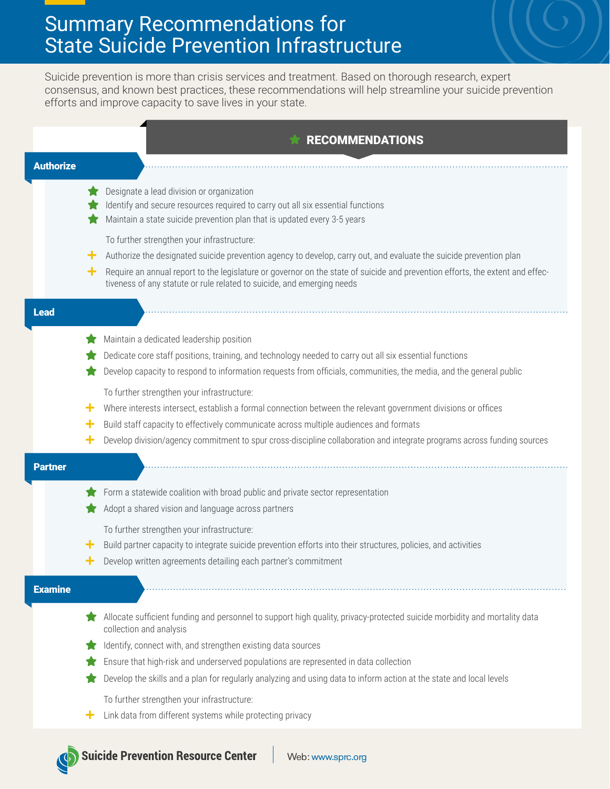## Summary Recommendations for State Suicide Prevention Infrastructure

Suicide prevention is more than crisis services and treatment. Based on thorough research, expert consensus, and known best practices, these recommendations will help streamline your suicide prevention efforts and improve capacity to save lives in your state.

|                  | <b>RECOMMENDATIONS</b>                                                                                                                                                                                                                                                                                                                                                                |
|------------------|---------------------------------------------------------------------------------------------------------------------------------------------------------------------------------------------------------------------------------------------------------------------------------------------------------------------------------------------------------------------------------------|
| <b>Authorize</b> |                                                                                                                                                                                                                                                                                                                                                                                       |
|                  | Designate a lead division or organization<br>Identify and secure resources required to carry out all six essential functions<br>Maintain a state suicide prevention plan that is updated every 3-5 years                                                                                                                                                                              |
|                  | To further strengthen your infrastructure:<br>Authorize the designated suicide prevention agency to develop, carry out, and evaluate the suicide prevention plan<br>٠<br>Require an annual report to the legislature or governor on the state of suicide and prevention efforts, the extent and effec-<br>٠<br>tiveness of any statute or rule related to suicide, and emerging needs |
| <b>Lead</b>      |                                                                                                                                                                                                                                                                                                                                                                                       |
|                  | Maintain a dedicated leadership position<br>Dedicate core staff positions, training, and technology needed to carry out all six essential functions<br>Develop capacity to respond to information requests from officials, communities, the media, and the general public                                                                                                             |
|                  | To further strengthen your infrastructure:<br>Where interests intersect, establish a formal connection between the relevant government divisions or offices<br>٠<br>Build staff capacity to effectively communicate across multiple audiences and formats<br>╋                                                                                                                        |
|                  | Develop division/agency commitment to spur cross-discipline collaboration and integrate programs across funding sources<br>┿                                                                                                                                                                                                                                                          |
|                  |                                                                                                                                                                                                                                                                                                                                                                                       |
|                  | Form a statewide coalition with broad public and private sector representation<br>Adopt a shared vision and language across partners                                                                                                                                                                                                                                                  |
|                  | To further strengthen your infrastructure:<br>Build partner capacity to integrate suicide prevention efforts into their structures, policies, and activities<br>٠<br>Develop written agreements detailing each partner's commitment<br>╋                                                                                                                                              |
|                  |                                                                                                                                                                                                                                                                                                                                                                                       |
| <b>Examine</b>   | Allocate sufficient funding and personnel to support high quality, privacy-protected suicide morbidity and mortality data<br>collection and analysis<br>Identify, connect with, and strengthen existing data sources                                                                                                                                                                  |
|                  | Ensure that high-risk and underserved populations are represented in data collection                                                                                                                                                                                                                                                                                                  |
| <b>Partner</b>   | Develop the skills and a plan for regularly analyzing and using data to inform action at the state and local levels<br>To further strengthen your infrastructure:                                                                                                                                                                                                                     |

N